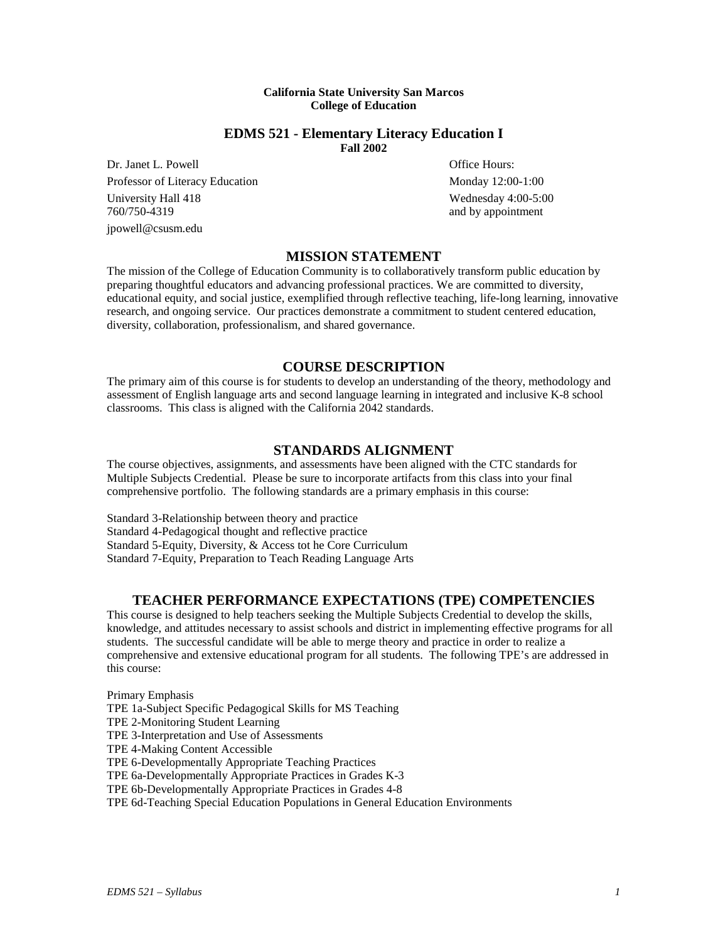#### **California State University San Marcos College of Education**

## **EDMS 521 - Elementary Literacy Education I Fall 2002**

Dr. Janet L. Powell **Dr. Janet L. Powell Office Hours:** Professor of Literacy Education Monday 12:00-1:00 University Hall 418 Wednesday 4:00-5:00<br>
760/750-4319 and by appointment jpowell@csusm.edu

and by appointment

# **MISSION STATEMENT**

The mission of the College of Education Community is to collaboratively transform public education by preparing thoughtful educators and advancing professional practices. We are committed to diversity, educational equity, and social justice, exemplified through reflective teaching, life-long learning, innovative research, and ongoing service. Our practices demonstrate a commitment to student centered education, diversity, collaboration, professionalism, and shared governance.

## **COURSE DESCRIPTION**

The primary aim of this course is for students to develop an understanding of the theory, methodology and assessment of English language arts and second language learning in integrated and inclusive K-8 school classrooms. This class is aligned with the California 2042 standards.

## **STANDARDS ALIGNMENT**

The course objectives, assignments, and assessments have been aligned with the CTC standards for Multiple Subjects Credential. Please be sure to incorporate artifacts from this class into your final comprehensive portfolio. The following standards are a primary emphasis in this course:

Standard 3-Relationship between theory and practice Standard 4-Pedagogical thought and reflective practice Standard 5-Equity, Diversity, & Access tot he Core Curriculum Standard 7-Equity, Preparation to Teach Reading Language Arts

## **TEACHER PERFORMANCE EXPECTATIONS (TPE) COMPETENCIES**

This course is designed to help teachers seeking the Multiple Subjects Credential to develop the skills, knowledge, and attitudes necessary to assist schools and district in implementing effective programs for all students. The successful candidate will be able to merge theory and practice in order to realize a comprehensive and extensive educational program for all students. The following TPE's are addressed in this course:

Primary Emphasis TPE 1a-Subject Specific Pedagogical Skills for MS Teaching TPE 2-Monitoring Student Learning TPE 3-Interpretation and Use of Assessments TPE 4-Making Content Accessible TPE 6-Developmentally Appropriate Teaching Practices TPE 6a-Developmentally Appropriate Practices in Grades K-3 TPE 6b-Developmentally Appropriate Practices in Grades 4-8 TPE 6d-Teaching Special Education Populations in General Education Environments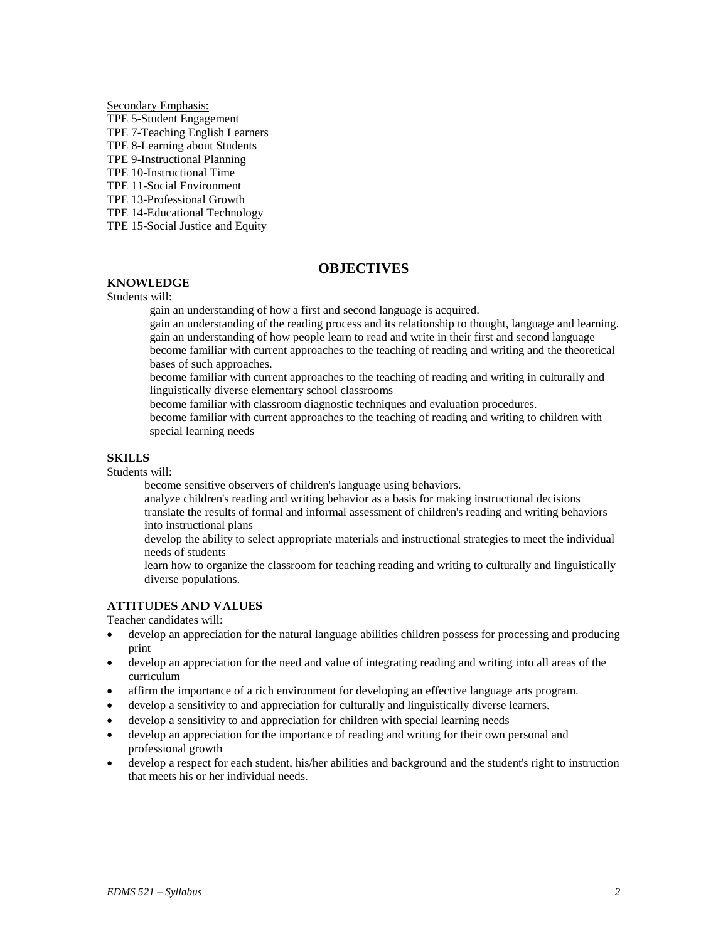Secondary Emphasis: TPE 5-Student Engagement TPE 7-Teaching English Learners TPE 8-Learning about Students TPE 9-Instructional Planning TPE 10-Instructional Time TPE 11-Social Environment TPE 13-Professional Growth TPE 14-Educational Technology TPE 15-Social Justice and Equity

## **OBJECTIVES**

# **KNOWLEDGE**

Students will:

gain an understanding of how a first and second language is acquired.

gain an understanding of the reading process and its relationship to thought, language and learning. gain an understanding of how people learn to read and write in their first and second language become familiar with current approaches to the teaching of reading and writing and the theoretical bases of such approaches.

become familiar with current approaches to the teaching of reading and writing in culturally and linguistically diverse elementary school classrooms

become familiar with classroom diagnostic techniques and evaluation procedures.

become familiar with current approaches to the teaching of reading and writing to children with special learning needs

### **SKILLS**

Students will:

become sensitive observers of children's language using behaviors.

analyze children's reading and writing behavior as a basis for making instructional decisions translate the results of formal and informal assessment of children's reading and writing behaviors into instructional plans

develop the ability to select appropriate materials and instructional strategies to meet the individual needs of students

learn how to organize the classroom for teaching reading and writing to culturally and linguistically diverse populations.

### **ATTITUDES AND VALUES**

Teacher candidates will:

- develop an appreciation for the natural language abilities children possess for processing and producing print
- develop an appreciation for the need and value of integrating reading and writing into all areas of the curriculum
- affirm the importance of a rich environment for developing an effective language arts program.
- develop a sensitivity to and appreciation for culturally and linguistically diverse learners.
- develop a sensitivity to and appreciation for children with special learning needs
- develop an appreciation for the importance of reading and writing for their own personal and professional growth
- develop a respect for each student, his/her abilities and background and the student's right to instruction that meets his or her individual needs.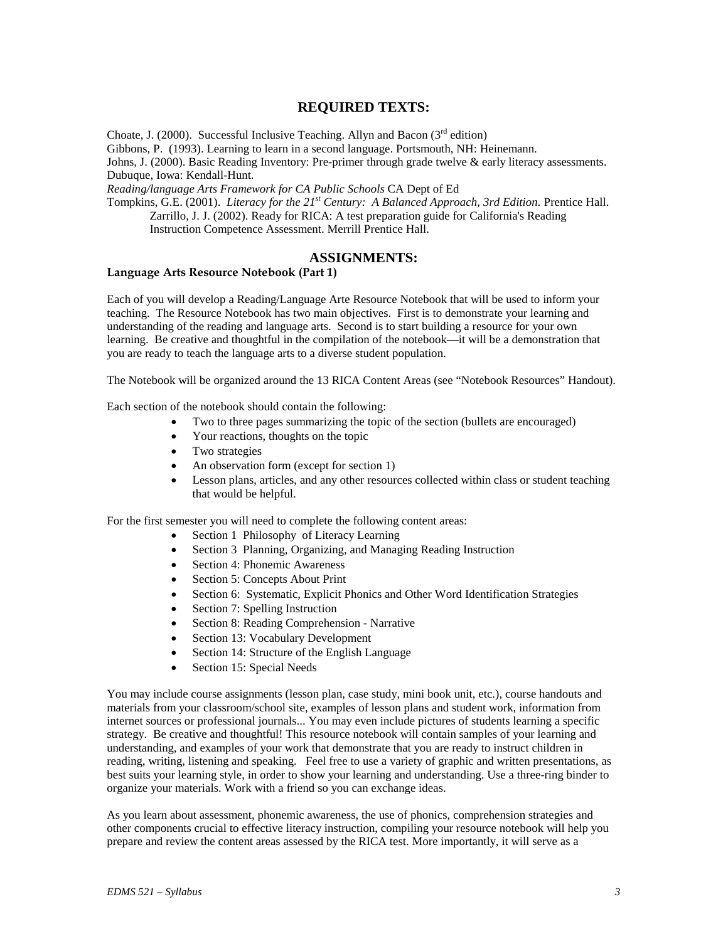# **REQUIRED TEXTS:**

Choate, J. (2000). Successful Inclusive Teaching. Allyn and Bacon ( $3<sup>rd</sup>$  edition) Gibbons, P. (1993). Learning to learn in a second language. Portsmouth, NH: Heinemann. Johns, J. (2000). Basic Reading Inventory: Pre-primer through grade twelve & early literacy assessments. Dubuque, Iowa: Kendall-Hunt. *Reading/language Arts Framework for CA Public Schools* CA Dept of Ed

Tompkins, G.E. (2001). *Literacy for the 21st Century: A Balanced Approach, 3rd Edition.* Prentice Hall. Zarrillo, J. J. (2002). Ready for RICA: A test preparation guide for California's Reading Instruction Competence Assessment. Merrill Prentice Hall.

## **ASSIGNMENTS:**

### **Language Arts Resource Notebook (Part 1)**

Each of you will develop a Reading/Language Arte Resource Notebook that will be used to inform your teaching. The Resource Notebook has two main objectives. First is to demonstrate your learning and understanding of the reading and language arts. Second is to start building a resource for your own learning. Be creative and thoughtful in the compilation of the notebook—it will be a demonstration that you are ready to teach the language arts to a diverse student population.

The Notebook will be organized around the 13 RICA Content Areas (see "Notebook Resources" Handout).

Each section of the notebook should contain the following:

- Two to three pages summarizing the topic of the section (bullets are encouraged)
- Your reactions, thoughts on the topic
- Two strategies
- An observation form (except for section 1)
- Lesson plans, articles, and any other resources collected within class or student teaching that would be helpful.

For the first semester you will need to complete the following content areas:

- Section 1 Philosophy of Literacy Learning
- Section 3 Planning, Organizing, and Managing Reading Instruction
- Section 4: Phonemic Awareness
- Section 5: Concepts About Print
- Section 6: Systematic, Explicit Phonics and Other Word Identification Strategies
- Section 7: Spelling Instruction
- Section 8: Reading Comprehension Narrative
- Section 13: Vocabulary Development
- Section 14: Structure of the English Language
- Section 15: Special Needs

You may include course assignments (lesson plan, case study, mini book unit, etc.), course handouts and materials from your classroom/school site, examples of lesson plans and student work, information from internet sources or professional journals... You may even include pictures of students learning a specific strategy. Be creative and thoughtful! This resource notebook will contain samples of your learning and understanding, and examples of your work that demonstrate that you are ready to instruct children in reading, writing, listening and speaking. Feel free to use a variety of graphic and written presentations, as best suits your learning style, in order to show your learning and understanding. Use a three-ring binder to organize your materials. Work with a friend so you can exchange ideas.

As you learn about assessment, phonemic awareness, the use of phonics, comprehension strategies and other components crucial to effective literacy instruction, compiling your resource notebook will help you prepare and review the content areas assessed by the RICA test. More importantly, it will serve as a